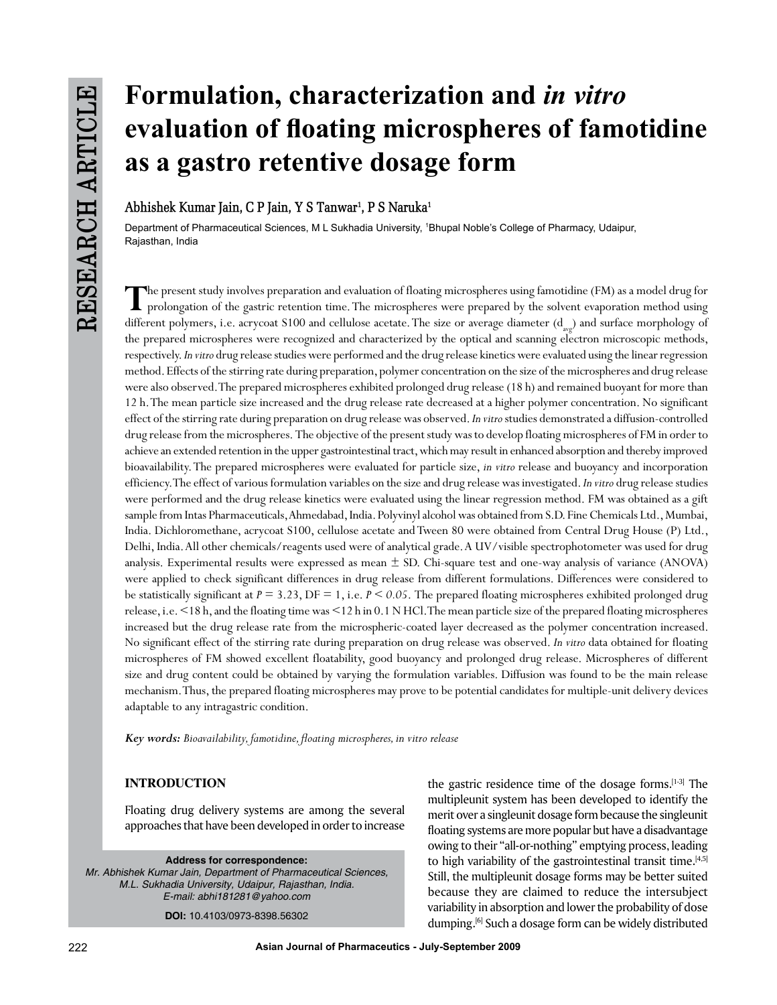# **Formulation, characterization and** *in vitro* **evaluation of floating microspheres of famotidine as a gastro retentive dosage form**

**Abhishek Kumar Jain, C P Jain, Y S Tanwar1 , P S Naruka1**

Department of Pharmaceutical Sciences, M L Sukhadia University, 1 Bhupal Noble's College of Pharmacy, Udaipur, Rajasthan, India

**T**he present study involves preparation and evaluation of floating microspheres using famotidine (FM) as a model drug for prolongation of the gastric retention time. The microspheres were prepared by the solvent evaporation method using different polymers, i.e. acrycoat S100 and cellulose acetate. The size or average diameter  $(d_{\text{max}})$  and surface morphology of the prepared microspheres were recognized and characterized by the optical and scanning electron microscopic methods, respectively. *In vitro* drug release studies were performed and the drug release kinetics were evaluated using the linear regression method. Effects of the stirring rate during preparation, polymer concentration on the size of the microspheres and drug release were also observed. The prepared microspheres exhibited prolonged drug release (18 h) and remained buoyant for more than 12 h. The mean particle size increased and the drug release rate decreased at a higher polymer concentration. No significant effect of the stirring rate during preparation on drug release was observed. *In vitro* studies demonstrated a diffusion-controlled drug release from the microspheres. The objective of the present study was to develop floating microspheres of FM in order to achieve an extended retention in the upper gastrointestinal tract, which may result in enhanced absorption and thereby improved bioavailability. The prepared microspheres were evaluated for particle size, *in vitro* release and buoyancy and incorporation efficiency. The effect of various formulation variables on the size and drug release was investigated. *In vitro* drug release studies were performed and the drug release kinetics were evaluated using the linear regression method. FM was obtained as a gift sample from Intas Pharmaceuticals, Ahmedabad, India. Polyvinyl alcohol was obtained from S.D. Fine Chemicals Ltd., Mumbai, India. Dichloromethane, acrycoat S100, cellulose acetate and Tween 80 were obtained from Central Drug House (P) Ltd., Delhi, India. All other chemicals/reagents used were of analytical grade. A UV/visible spectrophotometer was used for drug analysis. Experimental results were expressed as mean ± SD. Chi-square test and one-way analysis of variance (ANOVA) were applied to check significant differences in drug release from different formulations. Differences were considered to be statistically significant at *P* = 3.23, DF = 1, i.e. *P < 0.05*. The prepared floating microspheres exhibited prolonged drug release, i.e. <18 h, and the floating time was <12 h in 0.1 N HCl. The mean particle size of the prepared floating microspheres increased but the drug release rate from the microspheric-coated layer decreased as the polymer concentration increased. No significant effect of the stirring rate during preparation on drug release was observed. *In vitro* data obtained for floating microspheres of FM showed excellent floatability, good buoyancy and prolonged drug release. Microspheres of different size and drug content could be obtained by varying the formulation variables. Diffusion was found to be the main release mechanism. Thus, the prepared floating microspheres may prove to be potential candidates for multiple-unit delivery devices adaptable to any intragastric condition.

*Key words: Bioavailability, famotidine, floating microspheres, in vitro release*

# **INTRODUCTION**

Floating drug delivery systems are among the several approaches that have been developed in order to increase

**Address for correspondence:** *Mr. Abhishek Kumar Jain, Department of Pharmaceutical Sciences, M.L. Sukhadia University, Udaipur, Rajasthan, India. E-mail: abhi181281@yahoo.com*

**DOI:** 10.4103/0973-8398.56302

the gastric residence time of the dosage forms.<sup>[1-3]</sup> The multipleunit system has been developed to identify the merit over a singleunit dosage form because the singleunit floating systems are more popular but have a disadvantage owing to their "all-or-nothing" emptying process, leading to high variability of the gastrointestinal transit time.<sup>[4,5]</sup> Still, the multipleunit dosage forms may be better suited because they are claimed to reduce the intersubject variability in absorption and lower the probability of dose dumping.[6] Such a dosage form can be widely distributed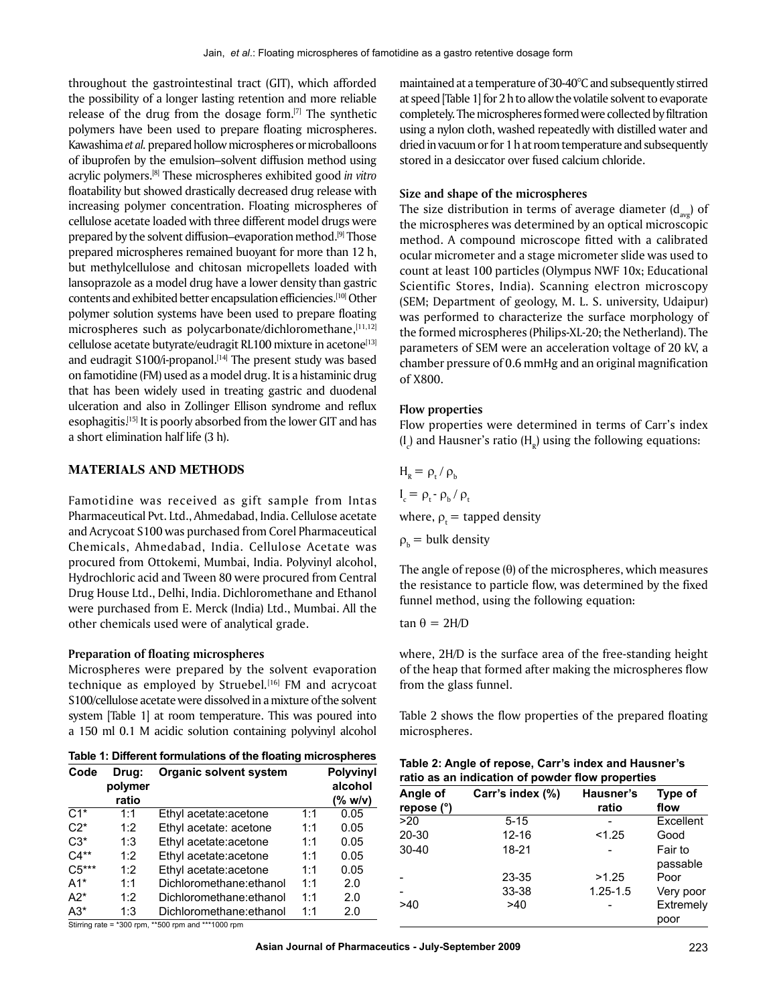throughout the gastrointestinal tract (GIT), which afforded the possibility of a longer lasting retention and more reliable release of the drug from the dosage form.[7] The synthetic polymers have been used to prepare floating microspheres. Kawashima *et al.* prepared hollow microspheres or microballoons of ibuprofen by the emulsion–solvent diffusion method using acrylic polymers.[8] These microspheres exhibited good *in vitro* floatability but showed drastically decreased drug release with increasing polymer concentration. Floating microspheres of cellulose acetate loaded with three different model drugs were prepared by the solvent diffusion–evaporation method.<sup>[9]</sup> Those prepared microspheres remained buoyant for more than 12 h, but methylcellulose and chitosan micropellets loaded with lansoprazole as a model drug have a lower density than gastric contents and exhibited better encapsulation efficiencies.[10] Other polymer solution systems have been used to prepare floating microspheres such as polycarbonate/dichloromethane, $[11,12]$ cellulose acetate butyrate/eudragit RL100 mixture in acetone<sup>[13]</sup> and eudragit S100/i-propanol.<sup>[14]</sup> The present study was based on famotidine (FM) used as a model drug. It is a histaminic drug that has been widely used in treating gastric and duodenal ulceration and also in Zollinger Ellison syndrome and reflux esophagitis.[15] It is poorly absorbed from the lower GIT and has a short elimination half life (3 h).

## **Materials and Methods**

Famotidine was received as gift sample from Intas Pharmaceutical Pvt. Ltd., Ahmedabad, India. Cellulose acetate and Acrycoat S100 was purchased from Corel Pharmaceutical Chemicals, Ahmedabad, India. Cellulose Acetate was procured from Ottokemi, Mumbai, India. Polyvinyl alcohol, Hydrochloric acid and Tween 80 were procured from Central Drug House Ltd., Delhi, India. Dichloromethane and Ethanol were purchased from E. Merck (India) Ltd., Mumbai. All the other chemicals used were of analytical grade.

#### **Preparation of floating microspheres**

Microspheres were prepared by the solvent evaporation technique as employed by Struebel*.* [16] FM and acrycoat S100/cellulose acetate were dissolved in a mixture of the solvent system [Table 1] at room temperature. This was poured into a 150 ml 0.1 M acidic solution containing polyvinyl alcohol

| Table 1: Different formulations of the floating microspheres |  |  |
|--------------------------------------------------------------|--|--|
|--------------------------------------------------------------|--|--|

| Code    | <b>Organic solvent system</b><br>Drug:<br>polymer |                          |     | <b>Polyvinyl</b><br>alcohol |  |
|---------|---------------------------------------------------|--------------------------|-----|-----------------------------|--|
|         | ratio                                             |                          |     | (% w/v)                     |  |
| $C1*$   | 1:1                                               | Ethyl acetate: acetone   | 1:1 | 0.05                        |  |
| $C2^*$  | 1:2                                               | Ethyl acetate: acetone   | 1:1 | 0.05                        |  |
| $C3*$   | 1:3                                               | Ethyl acetate: acetone   | 1:1 | 0.05                        |  |
| $C4***$ | 1:2                                               | Ethyl acetate: acetone   | 1:1 | 0.05                        |  |
| $C5***$ | 1:2                                               | Ethyl acetate:acetone    | 1:1 | 0.05                        |  |
| $A1*$   | 1:1                                               | Dichloromethane: ethanol | 1:1 | 2.0                         |  |
| $A2*$   | 1:2                                               | Dichloromethane: ethanol | 1:1 | 2.0                         |  |
| $A3*$   | 1:3                                               | Dichloromethane:ethanol  | 1.1 | 2.0                         |  |

maintained at a temperature of 30-40°C and subsequently stirred at speed [Table 1] for 2 h to allow the volatile solvent to evaporate completely. The microspheres formed were collected by filtration using a nylon cloth, washed repeatedly with distilled water and dried in vacuum or for 1 h at room temperature and subsequently stored in a desiccator over fused calcium chloride.

#### **Size and shape of the microspheres**

The size distribution in terms of average diameter  $(d_{avg})$  of the microspheres was determined by an optical microscopic method. A compound microscope fitted with a calibrated ocular micrometer and a stage micrometer slide was used to count at least 100 particles (Olympus NWF 10x; Educational Scientific Stores, India). Scanning electron microscopy (SEM; Department of geology, M. L. S. university, Udaipur) was performed to characterize the surface morphology of the formed microspheres (Philips-XL-20; the Netherland). The parameters of SEM were an acceleration voltage of 20 kV, a chamber pressure of 0.6 mmHg and an original magnification of X800.

#### **Flow properties**

Flow properties were determined in terms of Carr's index  $(I_c)$  and Hausner's ratio ( $H_R$ ) using the following equations:

 $H_R = \rho_t / \rho_b$  $I_c = \rho_t - \rho_b / \rho_t$ where,  $\rho_t$  = tapped density  $\rho_{b}$  = bulk density

The angle of repose  $(\theta)$  of the microspheres, which measures the resistance to particle flow, was determined by the fixed funnel method, using the following equation:

tan θ = 2H/D

where, 2H/D is the surface area of the free-standing height of the heap that formed after making the microspheres flow from the glass funnel.

Table 2 shows the flow properties of the prepared floating microspheres.

| Table 2: Angle of repose, Carr's index and Hausner's |
|------------------------------------------------------|
| ratio as an indication of powder flow properties     |

| Angle of<br>repose (°) | Carr's index (%) | Hausner's<br>ratio | Type of<br>flow     |
|------------------------|------------------|--------------------|---------------------|
| >20                    | $5 - 15$         |                    | Excellent           |
| 20-30                  | $12 - 16$        | < 1.25             | Good                |
| $30 - 40$              | 18-21            |                    | Fair to<br>passable |
|                        | 23-35            | >1.25              | Poor                |
|                        | 33-38            | $1.25 - 1.5$       | Very poor           |
| >40                    | >40              |                    | Extremely<br>poor   |

Stirring rate = \*300 rpm, \*\*500 rpm and \*\*\*1000 rpm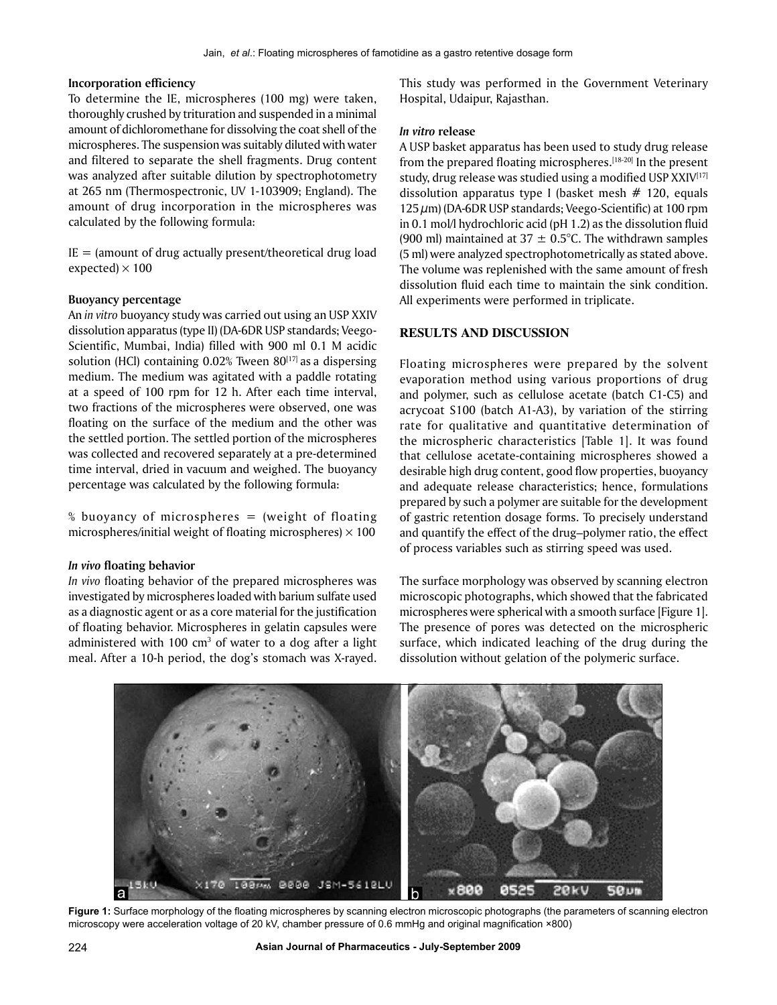#### **Incorporation efficiency**

To determine the IE, microspheres (100 mg) were taken, thoroughly crushed by trituration and suspended in a minimal amount of dichloromethane for dissolving the coat shell of the microspheres. The suspension was suitably diluted with water and filtered to separate the shell fragments. Drug content was analyzed after suitable dilution by spectrophotometry at 265 nm (Thermospectronic, UV 1-103909; England). The amount of drug incorporation in the microspheres was calculated by the following formula:

 $IE =$  (amount of drug actually present/theoretical drug load expected)  $\times$  100

#### **Buoyancy percentage**

An *in vitro* buoyancy study was carried out using an USP XXIV dissolution apparatus (type II) (DA-6DR USP standards; Veego-Scientific, Mumbai, India) filled with 900 ml 0.1 M acidic solution (HCl) containing  $0.02\%$  Tween  $80^{[17]}$  as a dispersing medium. The medium was agitated with a paddle rotating at a speed of 100 rpm for 12 h. After each time interval, two fractions of the microspheres were observed, one was floating on the surface of the medium and the other was the settled portion. The settled portion of the microspheres was collected and recovered separately at a pre-determined time interval, dried in vacuum and weighed. The buoyancy percentage was calculated by the following formula:

% buoyancy of microspheres = (weight of floating microspheres/initial weight of floating microspheres)  $\times$  100

#### *In vivo* **floating behavior**

*In vivo* floating behavior of the prepared microspheres was investigated by microspheres loaded with barium sulfate used as a diagnostic agent or as a core material for the justification of floating behavior. Microspheres in gelatin capsules were administered with  $100 \text{ cm}^3$  of water to a dog after a light meal. After a 10-h period, the dog's stomach was X-rayed.

This study was performed in the Government Veterinary Hospital, Udaipur, Rajasthan.

## *In vitro* **release**

A USP basket apparatus has been used to study drug release from the prepared floating microspheres.<sup>[18-20]</sup> In the present study, drug release was studied using a modified USP  $XXIV^{[17]}$ dissolution apparatus type I (basket mesh  $# 120$ , equals  $125 \mu m$ ) (DA-6DR USP standards; Veego-Scientific) at 100 rpm in 0.1 mol/l hydrochloric acid (pH 1.2) as the dissolution fluid (900 ml) maintained at  $37 \pm 0.5^{\circ}$ C. The withdrawn samples (5 ml) were analyzed spectrophotometrically as stated above. The volume was replenished with the same amount of fresh dissolution fluid each time to maintain the sink condition. All experiments were performed in triplicate.

## **RESULTS AND DISCUSSION**

Floating microspheres were prepared by the solvent evaporation method using various proportions of drug and polymer, such as cellulose acetate (batch C1-C5) and acrycoat S100 (batch A1-A3), by variation of the stirring rate for qualitative and quantitative determination of the microspheric characteristics [Table 1]. It was found that cellulose acetate-containing microspheres showed a desirable high drug content, good flow properties, buoyancy and adequate release characteristics; hence, formulations prepared by such a polymer are suitable for the development of gastric retention dosage forms. To precisely understand and quantify the effect of the drug–polymer ratio, the effect of process variables such as stirring speed was used.

The surface morphology was observed by scanning electron microscopic photographs, which showed that the fabricated microspheres were spherical with a smooth surface [Figure 1]. The presence of pores was detected on the microspheric surface, which indicated leaching of the drug during the dissolution without gelation of the polymeric surface.



**Figure 1:** Surface morphology of the floating microspheres by scanning electron microscopic photographs (the parameters of scanning electron microscopy were acceleration voltage of 20 kV, chamber pressure of 0.6 mmHg and original magnification ×800)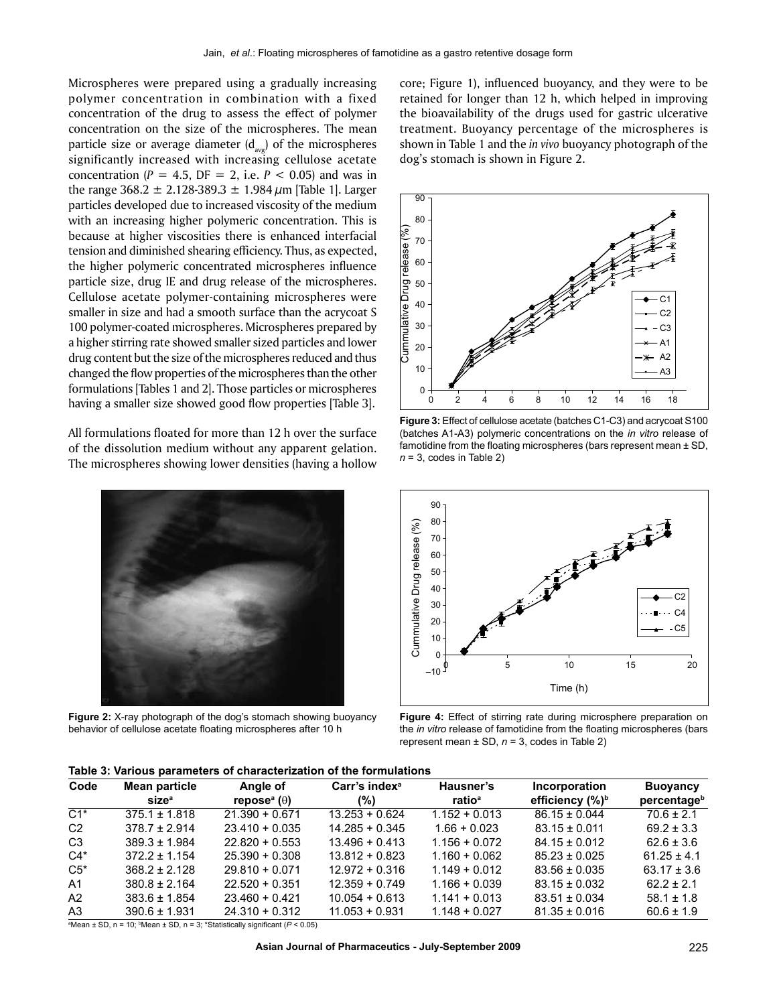Microspheres were prepared using a gradually increasing polymer concentration in combination with a fixed concentration of the drug to assess the effect of polymer concentration on the size of the microspheres. The mean particle size or average diameter  $(d_{avg})$  of the microspheres significantly increased with increasing cellulose acetate concentration ( $P = 4.5$ ,  $DF = 2$ , i.e.  $P < 0.05$ ) and was in the range 368.2  $\pm$  2.128-389.3  $\pm$  1.984  $\mu$ m [Table 1]. Larger particles developed due to increased viscosity of the medium with an increasing higher polymeric concentration. This is because at higher viscosities there is enhanced interfacial tension and diminished shearing efficiency. Thus, as expected, the higher polymeric concentrated microspheres influence particle size, drug IE and drug release of the microspheres. Cellulose acetate polymer-containing microspheres were smaller in size and had a smooth surface than the acrycoat S 100 polymer-coated microspheres. Microspheres prepared by a higher stirring rate showed smaller sized particles and lower drug content but the size of the microspheres reduced and thus changed the flow properties of the microspheres than the other formulations [Tables 1 and 2]. Those particles or microspheres having a smaller size showed good flow properties [Table 3].

All formulations floated for more than 12 h over the surface of the dissolution medium without any apparent gelation. The microspheres showing lower densities (having a hollow



**Figure 2:** X-ray photograph of the dog's stomach showing buoyancy behavior of cellulose acetate floating microspheres after 10 h

core; Figure 1), influenced buoyancy, and they were to be retained for longer than 12 h, which helped in improving the bioavailability of the drugs used for gastric ulcerative treatment. Buoyancy percentage of the microspheres is shown in Table 1 and the *in vivo* buoyancy photograph of the dog's stomach is shown in Figure 2.



**Figure 3:** Effect of cellulose acetate (batches C1-C3) and acrycoat S100 (batches A1-A3) polymeric concentrations on the *in vitro* release of famotidine from the floating microspheres (bars represent mean ± SD, *n* = 3, codes in Table 2)



**Figure 4:** Effect of stirring rate during microsphere preparation on the *in vitro* release of famotidine from the floating microspheres (bars represent mean ± SD, *n* = 3, codes in Table 2)

| Code           | Mean particle<br>size <sup>a</sup> | Angle of<br>repose <sup>a</sup> ( $\theta$ ) | Carr's index <sup>a</sup><br>(%) | Hausner's<br>ratio <sup>a</sup> | Incorporation<br>efficiency (%) <sup>b</sup> | <b>Buoyancy</b><br>percentageb |
|----------------|------------------------------------|----------------------------------------------|----------------------------------|---------------------------------|----------------------------------------------|--------------------------------|
| $C1*$          | $375.1 \pm 1.818$                  | $21.390 + 0.671$                             | $13.253 + 0.624$                 | $1.152 + 0.013$                 | $86.15 \pm 0.044$                            | $70.6 \pm 2.1$                 |
| C <sub>2</sub> | $378.7 \pm 2.914$                  | $23.410 + 0.035$                             | $14.285 + 0.345$                 | $1.66 + 0.023$                  | $83.15 \pm 0.011$                            | $69.2 \pm 3.3$                 |
| C <sub>3</sub> | $389.3 \pm 1.984$                  | $22.820 + 0.553$                             | $13.496 + 0.413$                 | $1.156 + 0.072$                 | $84.15 \pm 0.012$                            | $62.6 \pm 3.6$                 |
| $C4*$          | $372.2 \pm 1.154$                  | $25.390 + 0.308$                             | $13.812 + 0.823$                 | $1.160 + 0.062$                 | $85.23 \pm 0.025$                            | $61.25 \pm 4.1$                |
| $C5^*$         | $368.2 \pm 2.128$                  | $29.810 + 0.071$                             | $12.972 + 0.316$                 | $1.149 + 0.012$                 | $83.56 \pm 0.035$                            | $63.17 \pm 3.6$                |
| A <sub>1</sub> | $380.8 \pm 2.164$                  | $22.520 + 0.351$                             | $12.359 + 0.749$                 | $1.166 + 0.039$                 | $83.15 \pm 0.032$                            | $62.2 \pm 2.1$                 |
| A2             | $383.6 \pm 1.854$                  | $23.460 + 0.421$                             | $10.054 + 0.613$                 | $1.141 + 0.013$                 | $83.51 \pm 0.034$                            | $58.1 \pm 1.8$                 |
| A <sub>3</sub> | $390.6 \pm 1.931$                  | $24.310 + 0.312$                             | $11.053 + 0.931$                 | $1.148 + 0.027$                 | $81.35 \pm 0.016$                            | $60.6 \pm 1.9$                 |

<sup>a</sup>Mean ± SD, n = 10; <sup>b</sup>Mean ± SD, n = 3; \*Statistically significant (*P* < 0.05)